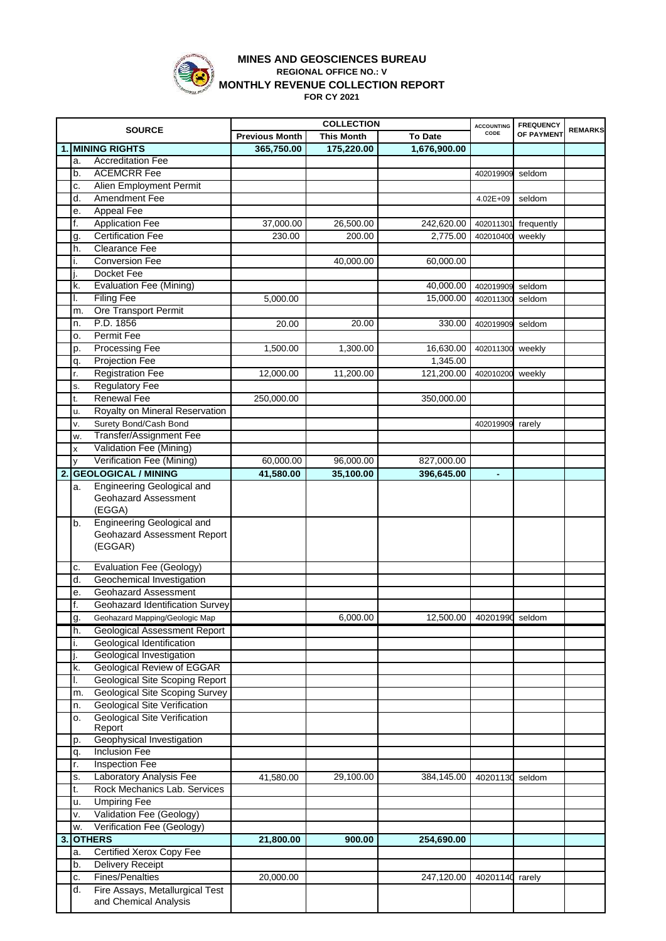

## **MINES AND GEOSCIENCES BUREAU REGIONAL OFFICE NO.: V MONTHLY REVENUE COLLECTION REPORT FOR CY 2021**

|    |     |                                       | <b>COLLECTION</b>     |                   |                           | <b>ACCOUNTING</b> | <b>FREQUENCY</b> | <b>REMARKS</b> |
|----|-----|---------------------------------------|-----------------------|-------------------|---------------------------|-------------------|------------------|----------------|
|    |     | <b>SOURCE</b>                         | <b>Previous Month</b> | <b>This Month</b> | <b>To Date</b>            | CODE              | OF PAYMENT       |                |
|    |     | <b>MINING RIGHTS</b>                  | 365,750.00            | 175,220.00        | 1,676,900.00              |                   |                  |                |
|    | a.  | <b>Accreditation Fee</b>              |                       |                   |                           |                   |                  |                |
|    | b.  | <b>ACEMCRR Fee</b>                    |                       |                   |                           | 402019909         | seldom           |                |
|    | c.  | Alien Employment Permit               |                       |                   |                           |                   |                  |                |
|    | d.  | Amendment Fee                         |                       |                   |                           | $4.02E + 09$      | seldom           |                |
|    | е.  | <b>Appeal Fee</b>                     |                       |                   |                           |                   |                  |                |
|    | f.  | <b>Application Fee</b>                | 37,000.00             | 26,500.00         |                           |                   |                  |                |
|    |     |                                       |                       |                   | 242,620.00                | 402011301         | frequently       |                |
|    | g.  | <b>Certification Fee</b>              | 230.00                | 200.00            | 2,775.00                  | 402010400         | weekly           |                |
|    | h.  | Clearance Fee                         |                       |                   |                           |                   |                  |                |
|    | i.  | <b>Conversion Fee</b>                 |                       | 40,000.00         | 60,000.00                 |                   |                  |                |
|    | ٠j. | Docket Fee                            |                       |                   |                           |                   |                  |                |
|    | k.  | <b>Evaluation Fee (Mining)</b>        |                       |                   | 40,000.00                 | 402019909         | seldom           |                |
|    | I.  | <b>Filing Fee</b>                     | 5,000.00              |                   | 15,000.00                 | 402011300         | seldom           |                |
|    | m.  | Ore Transport Permit                  |                       |                   |                           |                   |                  |                |
|    | n.  | P.D. 1856                             | 20.00                 | 20.00             | 330.00                    | 402019909         | seldom           |                |
|    | о.  | Permit Fee                            |                       |                   |                           |                   |                  |                |
|    | p.  | <b>Processing Fee</b>                 | 1,500.00              | 1,300.00          | 16,630.00                 | 402011300         | weekly           |                |
|    | q.  | <b>Projection Fee</b>                 |                       |                   | 1,345.00                  |                   |                  |                |
|    | r.  | <b>Registration Fee</b>               | 12,000.00             | 11,200.00         | 121,200.00                | 402010200         | weekly           |                |
|    | s.  | <b>Regulatory Fee</b>                 |                       |                   |                           |                   |                  |                |
|    |     | <b>Renewal Fee</b>                    |                       |                   | 350,000.00                |                   |                  |                |
|    | t.  |                                       | 250,000.00            |                   |                           |                   |                  |                |
|    | u.  | Royalty on Mineral Reservation        |                       |                   |                           |                   |                  |                |
|    | v.  | Surety Bond/Cash Bond                 |                       |                   |                           | 402019909         | rarely           |                |
|    | w.  | Transfer/Assignment Fee               |                       |                   |                           |                   |                  |                |
|    | X   | Validation Fee (Mining)               |                       |                   |                           |                   |                  |                |
|    | y   | Verification Fee (Mining)             | 60,000.00             | 96,000.00         | 827,000.00                |                   |                  |                |
| 2. |     | <b>GEOLOGICAL / MINING</b>            | 41,580.00             | 35,100.00         | 396,645.00                |                   |                  |                |
|    | a.  | Engineering Geological and            |                       |                   |                           |                   |                  |                |
|    |     | Geohazard Assessment                  |                       |                   |                           |                   |                  |                |
|    |     | (EGGA)                                |                       |                   |                           |                   |                  |                |
|    | b.  | <b>Engineering Geological and</b>     |                       |                   |                           |                   |                  |                |
|    |     | Geohazard Assessment Report           |                       |                   |                           |                   |                  |                |
|    |     | (EGGAR)                               |                       |                   |                           |                   |                  |                |
|    |     |                                       |                       |                   |                           |                   |                  |                |
|    | c.  | <b>Evaluation Fee (Geology)</b>       |                       |                   |                           |                   |                  |                |
|    | d.  | Geochemical Investigation             |                       |                   |                           |                   |                  |                |
|    | e.  | Geohazard Assessment                  |                       |                   |                           |                   |                  |                |
|    | f.  | Geohazard Identification Survey       |                       |                   |                           |                   |                  |                |
|    | g.  | Geohazard Mapping/Geologic Map        |                       | 6,000.00          | 12,500.00 40201990 seldom |                   |                  |                |
|    | h.  | <b>Geological Assessment Report</b>   |                       |                   |                           |                   |                  |                |
|    |     | Geological Identification             |                       |                   |                           |                   |                  |                |
|    | i.  |                                       |                       |                   |                           |                   |                  |                |
|    | j.  | Geological Investigation              |                       |                   |                           |                   |                  |                |
|    | k.  | <b>Geological Review of EGGAR</b>     |                       |                   |                           |                   |                  |                |
|    | I.  | Geological Site Scoping Report        |                       |                   |                           |                   |                  |                |
|    | m.  | <b>Geological Site Scoping Survey</b> |                       |                   |                           |                   |                  |                |
|    | n.  | <b>Geological Site Verification</b>   |                       |                   |                           |                   |                  |                |
|    | о.  | <b>Geological Site Verification</b>   |                       |                   |                           |                   |                  |                |
|    |     | Report                                |                       |                   |                           |                   |                  |                |
|    | p.  | Geophysical Investigation             |                       |                   |                           |                   |                  |                |
|    | q.  | Inclusion Fee                         |                       |                   |                           |                   |                  |                |
|    | r.  | <b>Inspection Fee</b>                 |                       |                   |                           |                   |                  |                |
|    | s.  | Laboratory Analysis Fee               | 41,580.00             | 29,100.00         | 384,145.00                | 40201130          | seldom           |                |
|    | t.  | Rock Mechanics Lab. Services          |                       |                   |                           |                   |                  |                |
|    | u.  | <b>Umpiring Fee</b>                   |                       |                   |                           |                   |                  |                |
|    | ٧.  | Validation Fee (Geology)              |                       |                   |                           |                   |                  |                |
|    | w.  | Verification Fee (Geology)            |                       |                   |                           |                   |                  |                |
|    |     | <b>OTHERS</b>                         |                       |                   |                           |                   |                  |                |
| 3. |     |                                       | 21,800.00             | 900.00            | 254,690.00                |                   |                  |                |
|    | a.  | <b>Certified Xerox Copy Fee</b>       |                       |                   |                           |                   |                  |                |
|    | b.  | Delivery Receipt                      |                       |                   |                           |                   |                  |                |
|    | c.  | <b>Fines/Penalties</b>                | 20,000.00             |                   | 247,120.00                | 40201140          | rarely           |                |
|    | d.  | Fire Assays, Metallurgical Test       |                       |                   |                           |                   |                  |                |
|    |     | and Chemical Analysis                 |                       |                   |                           |                   |                  |                |